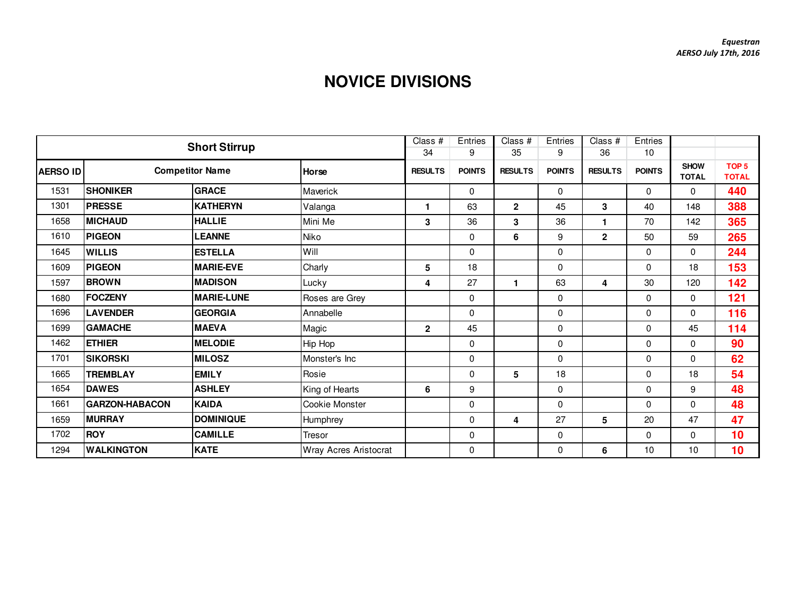## **NOVICE DIVISIONS**

|                 |                       | <b>Short Stirrup</b>   |                       | Class $#$      | Entries       | Class $#$               | Entries       | Class $#$      | Entries       |                             |                                  |
|-----------------|-----------------------|------------------------|-----------------------|----------------|---------------|-------------------------|---------------|----------------|---------------|-----------------------------|----------------------------------|
|                 |                       |                        |                       | 34             | 9             | 35                      | 9             | 36             | 10            |                             |                                  |
| <b>AERSO ID</b> |                       | <b>Competitor Name</b> | <b>Horse</b>          | <b>RESULTS</b> | <b>POINTS</b> | <b>RESULTS</b>          | <b>POINTS</b> | <b>RESULTS</b> | <b>POINTS</b> | <b>SHOW</b><br><b>TOTAL</b> | TOP <sub>5</sub><br><b>TOTAL</b> |
| 1531            | <b>SHONIKER</b>       | <b>GRACE</b>           | Maverick              |                | $\Omega$      |                         | $\mathbf{0}$  |                | 0             | 0                           | 440                              |
| 1301            | <b>PRESSE</b>         | <b>KATHERYN</b>        | Valanga               | 1              | 63            | $\overline{2}$          | 45            | $\mathbf{3}$   | 40            | 148                         | 388                              |
| 1658            | <b>MICHAUD</b>        | <b>HALLIE</b>          | Mini Me               | $\mathbf 3$    | 36            | 3                       | 36            | $\mathbf 1$    | 70            | 142                         | 365                              |
| 1610            | <b>PIGEON</b>         | <b>LEANNE</b>          | Niko                  |                | 0             | 6                       | 9             | $\overline{2}$ | 50            | 59                          | 265                              |
| 1645            | <b>WILLIS</b>         | <b>ESTELLA</b>         | Will                  |                | 0             |                         | $\mathbf 0$   |                | 0             | 0                           | 244                              |
| 1609            | <b>PIGEON</b>         | <b>MARIE-EVE</b>       | Charly                | 5              | 18            |                         | 0             |                | $\Omega$      | 18                          | 153                              |
| 1597            | <b>BROWN</b>          | <b>MADISON</b>         | Lucky                 | 4              | 27            | 1                       | 63            | 4              | 30            | 120                         | 142                              |
| 1680            | <b>FOCZENY</b>        | <b>MARIE-LUNE</b>      | Roses are Grey        |                | 0             |                         | 0             |                | $\Omega$      | $\Omega$                    | 121                              |
| 1696            | <b>LAVENDER</b>       | <b>GEORGIA</b>         | Annabelle             |                | $\Omega$      |                         | 0             |                | 0             | $\Omega$                    | 116                              |
| 1699            | <b>GAMACHE</b>        | <b>MAEVA</b>           | Magic                 | $\mathbf{2}$   | 45            |                         | $\mathbf 0$   |                | 0             | 45                          | 114                              |
| 1462            | <b>ETHIER</b>         | <b>MELODIE</b>         | Hip Hop               |                | 0             |                         | 0             |                | 0             | 0                           | 90                               |
| 1701            | <b>SIKORSKI</b>       | <b>MILOSZ</b>          | Monster's Inc         |                | 0             |                         | $\mathbf 0$   |                | $\Omega$      | $\Omega$                    | 62                               |
| 1665            | <b>TREMBLAY</b>       | <b>EMILY</b>           | Rosie                 |                | 0             | 5                       | 18            |                | 0             | 18                          | 54                               |
| 1654            | <b>DAWES</b>          | <b>ASHLEY</b>          | King of Hearts        | 6              | 9             |                         | 0             |                | $\Omega$      | 9                           | 48                               |
| 1661            | <b>GARZON-HABACON</b> | <b>KAIDA</b>           | Cookie Monster        |                | 0             |                         | $\mathbf{0}$  |                | 0             | 0                           | 48                               |
| 1659            | <b>MURRAY</b>         | <b>DOMINIQUE</b>       | Humphrey              |                | 0             | $\overline{\mathbf{4}}$ | 27            | 5              | 20            | 47                          | 47                               |
| 1702            | <b>ROY</b>            | <b>CAMILLE</b>         | Tresor                |                | 0             |                         | 0             |                | 0             | $\Omega$                    | 10                               |
| 1294            | <b>WALKINGTON</b>     | <b>KATE</b>            | Wray Acres Aristocrat |                | 0             |                         | $\mathbf 0$   | 6              | 10            | 10                          | 10                               |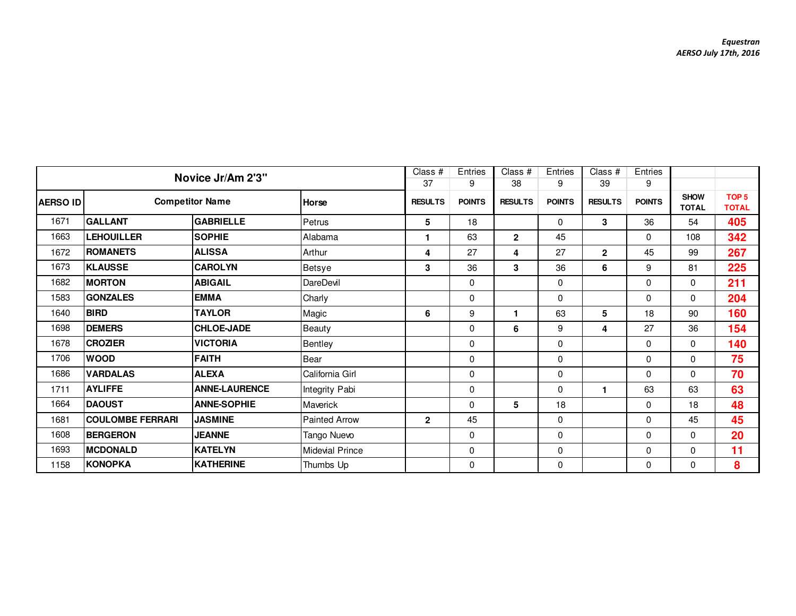|                 | Novice Jr/Am 2'3"       |                      |                        | Class #        | Entries       | Class #              | Entries       | Class $#$      | Entries       |                             |                                  |
|-----------------|-------------------------|----------------------|------------------------|----------------|---------------|----------------------|---------------|----------------|---------------|-----------------------------|----------------------------------|
|                 |                         |                      |                        | 37             | 9             | 38                   | 9             | 39             | 9             |                             |                                  |
| <b>AERSO ID</b> | <b>Competitor Name</b>  |                      | Horse                  | <b>RESULTS</b> | <b>POINTS</b> | <b>RESULTS</b>       | <b>POINTS</b> | <b>RESULTS</b> | <b>POINTS</b> | <b>SHOW</b><br><b>TOTAL</b> | TOP <sub>5</sub><br><b>TOTAL</b> |
| 1671            | <b>GALLANT</b>          | <b>GABRIELLE</b>     | Petrus                 | 5              | 18            |                      | $\mathbf 0$   | 3              | 36            | 54                          | 405                              |
| 1663            | <b>LEHOUILLER</b>       | <b>SOPHIE</b>        | Alabama                | 1              | 63            | $\mathbf{2}$         | 45            |                | $\Omega$      | 108                         | 342                              |
| 1672            | <b>ROMANETS</b>         | <b>ALISSA</b>        | Arthur                 | 4              | 27            | 4                    | 27            | $\mathbf{2}$   | 45            | 99                          | 267                              |
| 1673            | <b>KLAUSSE</b>          | <b>CAROLYN</b>       | Betsye                 | 3              | 36            | 3                    | 36            | 6              | 9             | 81                          | 225                              |
| 1682            | <b>MORTON</b>           | <b>ABIGAIL</b>       | DareDevil              |                | 0             |                      | 0             |                | 0             | $\Omega$                    | 211                              |
| 1583            | <b>GONZALES</b>         | <b>EMMA</b>          | Charly                 |                | 0             |                      | $\mathbf 0$   |                | $\mathbf 0$   | 0                           | 204                              |
| 1640            | <b>BIRD</b>             | <b>TAYLOR</b>        | Magic                  | 6              | 9             | $\blacktriangleleft$ | 63            | 5              | 18            | 90                          | 160                              |
| 1698            | <b>DEMERS</b>           | <b>CHLOE-JADE</b>    | Beauty                 |                | $\Omega$      | 6                    | 9             | 4              | 27            | 36                          | 154                              |
| 1678            | <b>CROZIER</b>          | <b>VICTORIA</b>      | Bentley                |                | $\mathbf 0$   |                      | $\mathbf 0$   |                | $\Omega$      | 0                           | 140                              |
| 1706            | <b>WOOD</b>             | <b>FAITH</b>         | Bear                   |                | $\mathbf 0$   |                      | $\mathbf 0$   |                | $\mathbf 0$   | $\Omega$                    | 75                               |
| 1686            | <b>VARDALAS</b>         | <b>ALEXA</b>         | California Girl        |                | $\mathbf 0$   |                      | 0             |                | $\mathbf 0$   | 0                           | 70                               |
| 1711            | <b>AYLIFFE</b>          | <b>ANNE-LAURENCE</b> | Integrity Pabi         |                | 0             |                      | 0             | 1              | 63            | 63                          | 63                               |
| 1664            | <b>DAOUST</b>           | <b>ANNE-SOPHIE</b>   | Maverick               |                | $\mathbf 0$   | 5                    | 18            |                | $\mathbf 0$   | 18                          | 48                               |
| 1681            | <b>COULOMBE FERRARI</b> | <b>JASMINE</b>       | <b>Painted Arrow</b>   | $\overline{2}$ | 45            |                      | $\mathbf 0$   |                | $\mathbf 0$   | 45                          | 45                               |
| 1608            | <b>BERGERON</b>         | <b>JEANNE</b>        | Tango Nuevo            |                | $\Omega$      |                      | $\mathbf 0$   |                | 0             | $\Omega$                    | 20                               |
| 1693            | <b>MCDONALD</b>         | <b>KATELYN</b>       | <b>Midevial Prince</b> |                | $\mathbf 0$   |                      | $\pmb{0}$     |                | $\Omega$      | $\Omega$                    | 11                               |
| 1158            | <b>KONOPKA</b>          | KATHERINE            | Thumbs Up              |                | $\mathbf 0$   |                      | $\mathbf 0$   |                | 0             | 0                           | 8                                |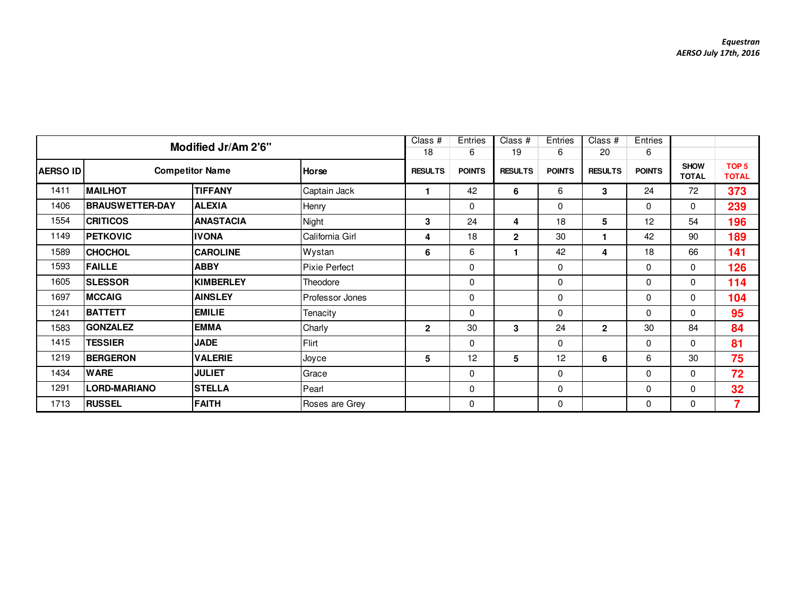|                 |                        |                                 | Class #              | Entries        | $\overline{Class}$ # | Entries        | Class $#$     | Entries        |               |                             |                                  |
|-----------------|------------------------|---------------------------------|----------------------|----------------|----------------------|----------------|---------------|----------------|---------------|-----------------------------|----------------------------------|
|                 |                        | Modified Jr/Am 2'6"             |                      | 18             | 6                    | 19             | 6             | 20             | 6             |                             |                                  |
| <b>AERSO ID</b> |                        | <b>Competitor Name</b><br>Horse |                      | <b>RESULTS</b> | <b>POINTS</b>        | <b>RESULTS</b> | <b>POINTS</b> | <b>RESULTS</b> | <b>POINTS</b> | <b>SHOW</b><br><b>TOTAL</b> | TOP <sub>5</sub><br><b>TOTAL</b> |
| 1411            | <b>MAILHOT</b>         | <b>TIFFANY</b>                  | Captain Jack         |                | 42                   | 6              | 6             | 3              | 24            | 72                          | 373                              |
| 1406            | <b>BRAUSWETTER-DAY</b> | <b>ALEXIA</b>                   | Henry                |                | 0                    |                | 0             |                | 0             | $\mathbf 0$                 | 239                              |
| 1554            | <b>CRITICOS</b>        | <b>ANASTACIA</b>                | Night                | 3              | 24                   | 4              | 18            | 5              | 12            | 54                          | 196                              |
| 1149            | <b>PETKOVIC</b>        | <b>IVONA</b>                    | California Girl      | 4              | 18                   | $\mathbf{2}$   | 30            |                | 42            | 90                          | 189                              |
| 1589            | <b>CHOCHOL</b>         | <b>CAROLINE</b>                 | Wystan               | 6              | 6                    | 1              | 42            | 4              | 18            | 66                          | 141                              |
| 1593            | <b>FAILLE</b>          | <b>ABBY</b>                     | <b>Pixie Perfect</b> |                | 0                    |                | 0             |                | 0             | $\mathbf 0$                 | 126                              |
| 1605            | <b>SLESSOR</b>         | <b>KIMBERLEY</b>                | Theodore             |                | 0                    |                | $\mathbf 0$   |                | 0             | 0                           | 114                              |
| 1697            | <b>MCCAIG</b>          | <b>AINSLEY</b>                  | Professor Jones      |                | 0                    |                | 0             |                | $\Omega$      | $\Omega$                    | 104                              |
| 1241            | <b>BATTETT</b>         | <b>EMILIE</b>                   | Tenacity             |                | 0                    |                | $\mathbf 0$   |                | 0             | $\Omega$                    | 95                               |
| 1583            | <b>GONZALEZ</b>        | <b>EMMA</b>                     | Charly               | $\overline{2}$ | 30                   | 3              | 24            | $\mathbf{2}$   | 30            | 84                          | 84                               |
| 1415            | <b>TESSIER</b>         | <b>JADE</b>                     | Flirt                |                | $\Omega$             |                | $\mathbf 0$   |                | $\Omega$      | $\Omega$                    | 81                               |
| 1219            | <b>BERGERON</b>        | <b>VALERIE</b>                  | Joyce                | 5              | 12                   | 5              | 12            | 6              | 6             | 30                          | 75                               |
| 1434            | <b>WARE</b>            | <b>JULIET</b>                   | Grace                |                | 0                    |                | 0             |                | 0             | 0                           | 72                               |
| 1291            | <b>LORD-MARIANO</b>    | <b>STELLA</b>                   | Pearl                |                | 0                    |                | 0             |                | 0             | 0                           | 32                               |
| 1713            | <b>RUSSEL</b>          | <b>FAITH</b>                    | Roses are Grey       |                | 0                    |                | 0             |                | 0             | 0                           | $\overline{\mathbf{z}}$          |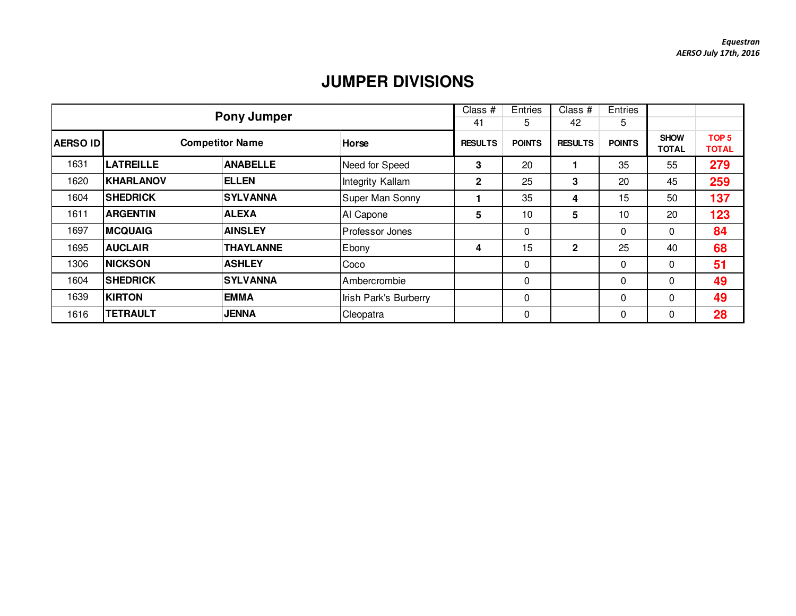## **JUMPER DIVISIONS**

|          |                        | <b>Pony Jumper</b> |                       | Class #        | Entries       | Class #        | Entries       |                             |                                  |
|----------|------------------------|--------------------|-----------------------|----------------|---------------|----------------|---------------|-----------------------------|----------------------------------|
|          |                        |                    |                       | 41             | 5             | 42             | 5             |                             |                                  |
| AERSO ID | <b>Competitor Name</b> |                    | <b>Horse</b>          | <b>RESULTS</b> | <b>POINTS</b> | <b>RESULTS</b> | <b>POINTS</b> | <b>SHOW</b><br><b>TOTAL</b> | TOP <sub>5</sub><br><b>TOTAL</b> |
| 1631     | <b>LATREILLE</b>       | <b>ANABELLE</b>    | Need for Speed        | 3              | 20            |                | 35            | 55                          | 279                              |
| 1620     | <b>KHARLANOV</b>       | <b>ELLEN</b>       | Integrity Kallam      | 2              | 25            | 3              | 20            | 45                          | 259                              |
| 1604     | <b>SHEDRICK</b>        | <b>SYLVANNA</b>    | Super Man Sonny       |                | 35            | 4              | 15            | 50                          | 137                              |
| 1611     | <b>ARGENTIN</b>        | <b>ALEXA</b>       | Al Capone             | 5              | 10            | 5              | 10            | 20                          | 123                              |
| 1697     | <b>MCQUAIG</b>         | <b>AINSLEY</b>     | Professor Jones       |                | 0             |                | 0             | 0                           | 84                               |
| 1695     | <b>AUCLAIR</b>         | <b>THAYLANNE</b>   | Ebony                 | 4              | 15            | $\mathbf{2}$   | 25            | 40                          | 68                               |
| 1306     | <b>NICKSON</b>         | <b>ASHLEY</b>      | Coco                  |                | 0             |                | 0             | $\Omega$                    | 51                               |
| 1604     | <b>SHEDRICK</b>        | <b>SYLVANNA</b>    | Ambercrombie          |                | $\Omega$      |                | $\Omega$      | $\Omega$                    | 49                               |
| 1639     | <b>KIRTON</b>          | <b>EMMA</b>        | Irish Park's Burberry |                | 0             |                | $\Omega$      | $\Omega$                    | 49                               |
| 1616     | <b>TETRAULT</b>        | <b>JENNA</b>       | Cleopatra             |                | 0             |                | $\mathbf 0$   | $\Omega$                    | 28                               |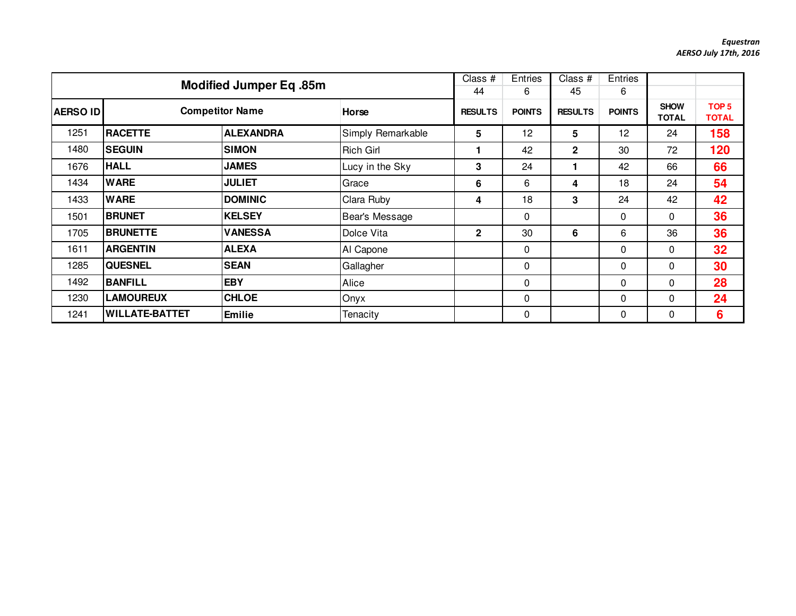|                 | <b>Modified Jumper Eq. 85m</b> |                  |                   |                | <b>Entries</b><br>6 | Class #<br>45  | <b>Entries</b><br>6 |                             |                                  |
|-----------------|--------------------------------|------------------|-------------------|----------------|---------------------|----------------|---------------------|-----------------------------|----------------------------------|
| <b>AERSO ID</b> | <b>Competitor Name</b>         |                  | <b>Horse</b>      | <b>RESULTS</b> | <b>POINTS</b>       | <b>RESULTS</b> | <b>POINTS</b>       | <b>SHOW</b><br><b>TOTAL</b> | TOP <sub>5</sub><br><b>TOTAL</b> |
| 1251            | <b>RACETTE</b>                 | <b>ALEXANDRA</b> | Simply Remarkable | 5              | 12                  | 5              | 12                  | 24                          | 158                              |
| 1480            | <b>SEGUIN</b>                  | <b>SIMON</b>     | <b>Rich Girl</b>  |                | 42                  | $\mathbf{2}$   | 30                  | 72                          | 120                              |
| 1676            | <b>HALL</b>                    | <b>JAMES</b>     | Lucy in the Sky   | 3              | 24                  |                | 42                  | 66                          | 66                               |
| 1434            | <b>WARE</b>                    | <b>JULIET</b>    | Grace             | 6              | 6                   | 4              | 18                  | 24                          | 54                               |
| 1433            | <b>WARE</b>                    | <b>DOMINIC</b>   | Clara Ruby        | 4              | 18                  | 3              | 24                  | 42                          | 42                               |
| 1501            | <b>BRUNET</b>                  | <b>KELSEY</b>    | Bear's Message    |                | 0                   |                | $\mathbf 0$         | $\mathbf{0}$                | 36                               |
| 1705            | <b>BRUNETTE</b>                | <b>VANESSA</b>   | Dolce Vita        | $\mathbf{2}$   | 30                  | 6              | 6                   | 36                          | 36                               |
| 1611            | <b>ARGENTIN</b>                | <b>ALEXA</b>     | Al Capone         |                | 0                   |                | $\mathbf{0}$        | $\mathbf{0}$                | 32                               |
| 1285            | <b>QUESNEL</b>                 | <b>SEAN</b>      | Gallagher         |                | 0                   |                | 0                   | $\mathbf{0}$                | 30                               |
| 1492            | <b>BANFILL</b>                 | <b>EBY</b>       | Alice             |                | 0                   |                | 0                   | $\mathbf{0}$                | 28                               |
| 1230            | <b>LAMOUREUX</b>               | <b>CHLOE</b>     | Onyx              |                | 0                   |                | 0                   | $\mathbf 0$                 | 24                               |
| 1241            | <b>WILLATE-BATTET</b>          | <b>Emilie</b>    | Tenacity          |                | 0                   |                | 0                   | $\Omega$                    | 6                                |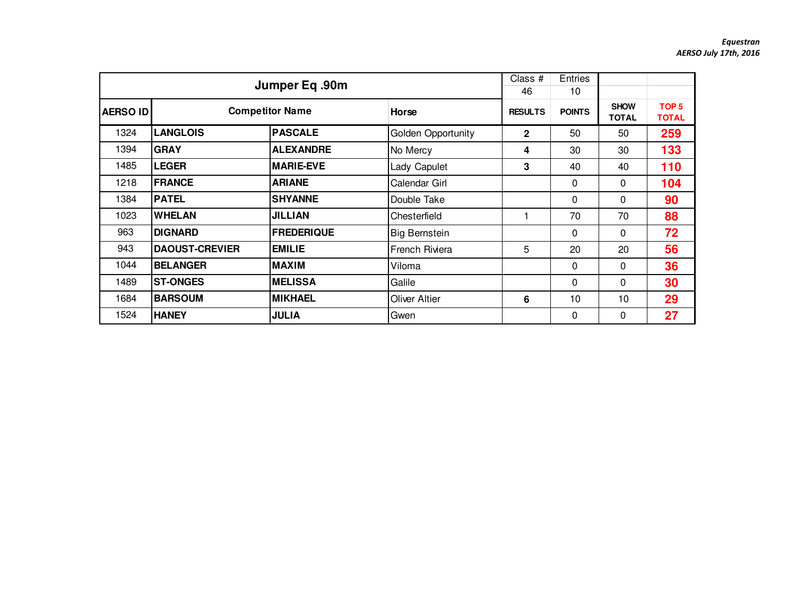|                 |                       | Jumper Eq.90m                   |                      | Class #<br>46  | <b>Entries</b><br>10 |                             |                                  |
|-----------------|-----------------------|---------------------------------|----------------------|----------------|----------------------|-----------------------------|----------------------------------|
| <b>AERSO ID</b> |                       | <b>Competitor Name</b><br>Horse |                      | <b>RESULTS</b> | <b>POINTS</b>        | <b>SHOW</b><br><b>TOTAL</b> | TOP <sub>5</sub><br><b>TOTAL</b> |
| 1324            | <b>LANGLOIS</b>       | <b>PASCALE</b>                  | Golden Opportunity   | $\mathbf{2}$   | 50                   | 50                          | 259                              |
| 1394            | <b>GRAY</b>           | <b>ALEXANDRE</b>                | No Mercy             | 4              | 30                   | 30                          | 133                              |
| 1485            | <b>LEGER</b>          | <b>MARIE-EVE</b>                | Lady Capulet         | 3              | 40                   | 40                          | 110                              |
| 1218            | <b>FRANCE</b>         | <b>ARIANE</b>                   | Calendar Girl        |                | 0                    | $\Omega$                    | 104                              |
| 1384            | <b>PATEL</b>          | <b>SHYANNE</b>                  | Double Take          |                | 0                    | $\Omega$                    | 90                               |
| 1023            | <b>WHELAN</b>         | <b>JILLIAN</b>                  | Chesterfield         |                | 70                   | 70                          | 88                               |
| 963             | <b>DIGNARD</b>        | <b>FREDERIQUE</b>               | <b>Big Bernstein</b> |                | $\Omega$             | $\mathbf{0}$                | 72                               |
| 943             | <b>DAOUST-CREVIER</b> | <b>EMILIE</b>                   | French Riviera       | 5              | 20                   | 20                          | 56                               |
| 1044            | <b>BELANGER</b>       | <b>MAXIM</b>                    | Viloma               |                | 0                    | 0                           | 36                               |
| 1489            | <b>ST-ONGES</b>       | <b>MELISSA</b>                  | Galile               |                | $\Omega$             | $\Omega$                    | 30                               |
| 1684            | <b>BARSOUM</b>        | <b>MIKHAEL</b>                  | <b>Oliver Altier</b> | 6              | 10                   | 10                          | 29                               |
| 1524            | <b>HANEY</b>          | <b>JULIA</b>                    | Gwen                 |                | 0                    | 0                           | 27                               |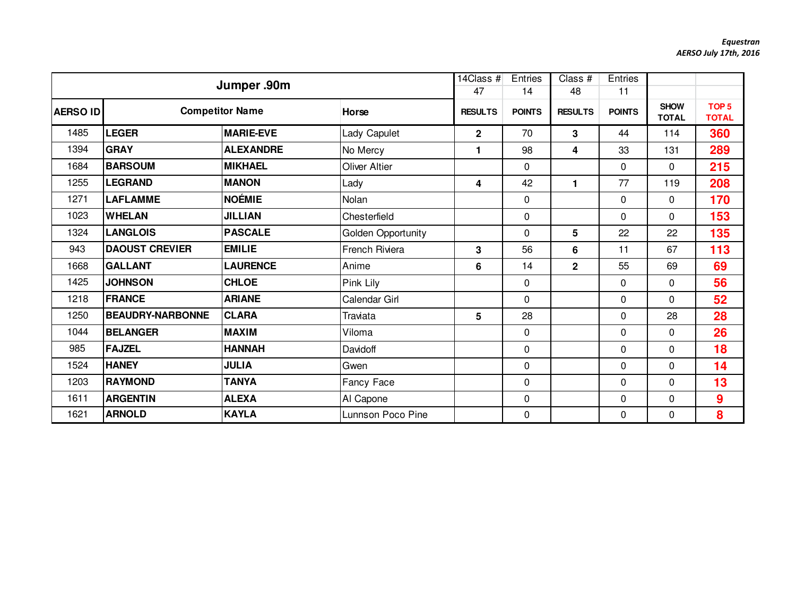|                 | Jumper .90m             |                        | 14Class $#$<br>47     | Entries<br>14  | Class #<br>48 | Entries<br>11           |               |                             |                                  |
|-----------------|-------------------------|------------------------|-----------------------|----------------|---------------|-------------------------|---------------|-----------------------------|----------------------------------|
| <b>AERSO ID</b> |                         | <b>Competitor Name</b> | Horse                 | <b>RESULTS</b> | <b>POINTS</b> | <b>RESULTS</b>          | <b>POINTS</b> | <b>SHOW</b><br><b>TOTAL</b> | TOP <sub>5</sub><br><b>TOTAL</b> |
| 1485            | <b>LEGER</b>            | <b>MARIE-EVE</b>       | Lady Capulet          | $\mathbf{2}$   | 70            | 3                       | 44            | 114                         | 360                              |
| 1394            | <b>GRAY</b>             | <b>ALEXANDRE</b>       | No Mercy              | 1              | 98            | 4                       | 33            | 131                         | 289                              |
| 1684            | <b>BARSOUM</b>          | <b>MIKHAEL</b>         | Oliver Altier         |                | 0             |                         | $\Omega$      | $\mathbf{0}$                | 215                              |
| 1255            | <b>LEGRAND</b>          | <b>MANON</b>           | Lady                  | 4              | 42            | 1.                      | 77            | 119                         | 208                              |
| 1271            | <b>LAFLAMME</b>         | NOÉMIE                 | Nolan                 |                | 0             |                         | $\mathbf 0$   | $\mathbf 0$                 | 170                              |
| 1023            | <b>WHELAN</b>           | <b>JILLIAN</b>         | Chesterfield          |                | 0             |                         | 0             | $\mathbf 0$                 | 153                              |
| 1324            | <b>LANGLOIS</b>         | <b>PASCALE</b>         | Golden Opportunity    |                | 0             | 5                       | 22            | 22                          | 135                              |
| 943             | <b>DAOUST CREVIER</b>   | <b>EMILIE</b>          | <b>French Riviera</b> | 3              | 56            | 6                       | 11            | 67                          | 113                              |
| 1668            | <b>GALLANT</b>          | <b>LAURENCE</b>        | Anime                 | 6              | 14            | $\overline{\mathbf{2}}$ | 55            | 69                          | 69                               |
| 1425            | <b>JOHNSON</b>          | <b>CHLOE</b>           | Pink Lily             |                | 0             |                         | $\Omega$      | $\mathbf{0}$                | 56                               |
| 1218            | FRANCE                  | <b>ARIANE</b>          | Calendar Girl         |                | 0             |                         | $\Omega$      | $\mathbf{0}$                | 52                               |
| 1250            | <b>BEAUDRY-NARBONNE</b> | <b>CLARA</b>           | Traviata              | 5              | 28            |                         | 0             | 28                          | 28                               |
| 1044            | <b>BELANGER</b>         | <b>MAXIM</b>           | Viloma                |                | 0             |                         | 0             | $\mathbf 0$                 | 26                               |
| 985             | <b>FAJZEL</b>           | <b>HANNAH</b>          | Davidoff              |                | 0             |                         | 0             | $\mathbf 0$                 | 18                               |
| 1524            | <b>HANEY</b>            | <b>JULIA</b>           | Gwen                  |                | 0             |                         | $\Omega$      | $\mathbf{0}$                | 14                               |
| 1203            | <b>RAYMOND</b>          | <b>TANYA</b>           | Fancy Face            |                | 0             |                         | $\mathbf 0$   | $\mathbf 0$                 | 13                               |
| 1611            | <b>ARGENTIN</b>         | <b>ALEXA</b>           | Al Capone             |                | 0             |                         | $\Omega$      | $\mathbf{0}$                | 9                                |
| 1621            | <b>ARNOLD</b>           | KAYLA                  | Lunnson Poco Pine     |                | 0             |                         | 0             | 0                           | 8                                |